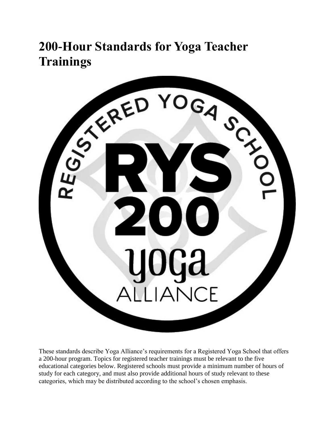# **200-Hour Standards for Yoga Teacher**



These standards describe Yoga Alliance's requirements for a Registered Yoga School that offers a 200-hour program. Topics for registered teacher trainings must be relevant to the five educational categories below. Registered schools must provide a minimum number of hours of study for each category, and must also provide additional hours of study relevant to these categories, which may be distributed according to the school's chosen emphasis.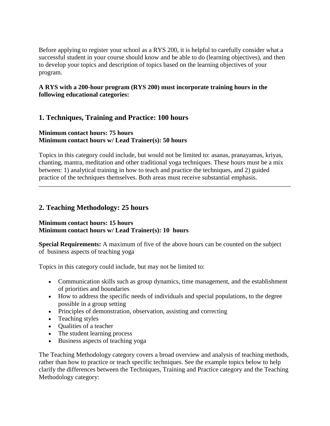Before applying to register your school as a RYS 200, it is helpful to carefully consider what a successful student in your course should know and be able to do (learning objectives), and then to develop your topics and description of topics based on the learning objectives of your program.

## **A RYS with a 200-hour program (RYS 200) must incorporate training hours in the following educational categories:**

# **1. Techniques, Training and Practice: 100 hours**

### **Minimum contact hours: 75 hours Minimum contact hours w/ Lead Trainer(s): 50 hours**

Topics in this category could include, but would not be limited to: asanas, pranayamas, kriyas, chanting, mantra, meditation and other traditional yoga techniques. These hours must be a mix between: 1) analytical training in how to teach and practice the techniques, and 2) guided practice of the techniques themselves. Both areas must receive substantial emphasis.

## **2. Teaching Methodology: 25 hours**

#### **Minimum contact hours: 15 hours Minimum contact hours w/ Lead Trainer(s): 10 hours**

**Special Requirements:** A maximum of five of the above hours can be counted on the subject of business aspects of teaching yoga

Topics in this category could include, but may not be limited to:

- Communication skills such as group dynamics, time management, and the establishment of priorities and boundaries
- How to address the specific needs of individuals and special populations, to the degree possible in a group setting
- Principles of demonstration, observation, assisting and correcting
- Teaching styles
- Qualities of a teacher
- The student learning process
- Business aspects of teaching yoga

The Teaching Methodology category covers a broad overview and analysis of teaching methods, rather than how to practice or teach specific techniques. See the example topics below to help clarify the differences between the Techniques, Training and Practice category and the Teaching Methodology category: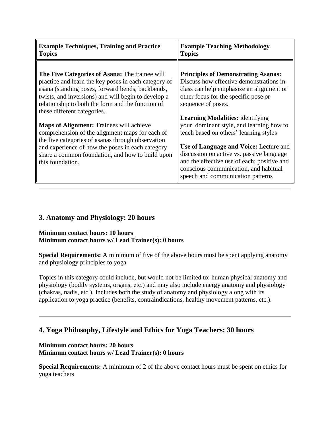| <b>Example Techniques, Training and Practice</b>                                                                                                                                                                                                                                                                                                                                                                                                                                                                                                                                             | <b>Example Teaching Methodology</b>                                                                                                                                                                                                                                                                                                                                                                                                                                                                                                                  |
|----------------------------------------------------------------------------------------------------------------------------------------------------------------------------------------------------------------------------------------------------------------------------------------------------------------------------------------------------------------------------------------------------------------------------------------------------------------------------------------------------------------------------------------------------------------------------------------------|------------------------------------------------------------------------------------------------------------------------------------------------------------------------------------------------------------------------------------------------------------------------------------------------------------------------------------------------------------------------------------------------------------------------------------------------------------------------------------------------------------------------------------------------------|
| <b>Topics</b>                                                                                                                                                                                                                                                                                                                                                                                                                                                                                                                                                                                | <b>Topics</b>                                                                                                                                                                                                                                                                                                                                                                                                                                                                                                                                        |
| The Five Categories of Asana: The trainee will<br>practice and learn the key poses in each category of<br>asana (standing poses, forward bends, backbends,<br>twists, and inversions) and will begin to develop a<br>relationship to both the form and the function of<br>these different categories.<br><b>Maps of Alignment:</b> Trainees will achieve<br>comprehension of the alignment maps for each of<br>the five categories of asanas through observation<br>and experience of how the poses in each category<br>share a common foundation, and how to build upon<br>this foundation. | <b>Principles of Demonstrating Asanas:</b><br>Discuss how effective demonstrations in<br>class can help emphasize an alignment or<br>other focus for the specific pose or<br>sequence of poses.<br><b>Learning Modalities:</b> identifying<br>your dominant style, and learning how to<br>teach based on others' learning styles<br>Use of Language and Voice: Lecture and<br>discussion on active vs. passive language<br>and the effective use of each; positive and<br>conscious communication, and habitual<br>speech and communication patterns |

# **3. Anatomy and Physiology: 20 hours**

#### **Minimum contact hours: 10 hours Minimum contact hours w/ Lead Trainer(s): 0 hours**

**Special Requirements:** A minimum of five of the above hours must be spent applying anatomy and physiology principles to yoga

Topics in this category could include, but would not be limited to: human physical anatomy and physiology (bodily systems, organs, etc.) and may also include energy anatomy and physiology (chakras, nadis, etc.). Includes both the study of anatomy and physiology along with its application to yoga practice (benefits, contraindications, healthy movement patterns, etc.).

# **4. Yoga Philosophy, Lifestyle and Ethics for Yoga Teachers: 30 hours**

## **Minimum contact hours: 20 hours Minimum contact hours w/ Lead Trainer(s): 0 hours**

**Special Requirements:** A minimum of 2 of the above contact hours must be spent on ethics for yoga teachers